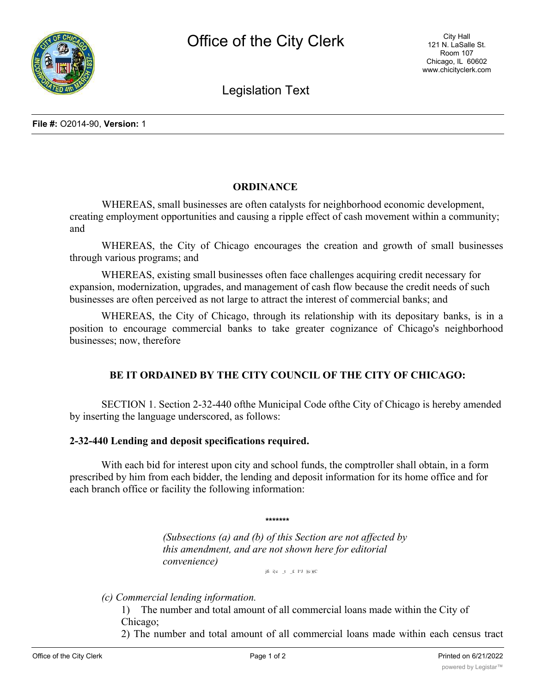

Legislation Text

## **ORDINANCE**

WHEREAS, small businesses are often catalysts for neighborhood economic development, creating employment opportunities and causing a ripple effect of cash movement within a community; and

WHEREAS, the City of Chicago encourages the creation and growth of small businesses through various programs; and

WHEREAS, existing small businesses often face challenges acquiring credit necessary for expansion, modernization, upgrades, and management of cash flow because the credit needs of such businesses are often perceived as not large to attract the interest of commercial banks; and

WHEREAS, the City of Chicago, through its relationship with its depositary banks, is in a position to encourage commercial banks to take greater cognizance of Chicago's neighborhood businesses; now, therefore

## **BE IT ORDAINED BY THE CITY COUNCIL OF THE CITY OF CHICAGO:**

SECTION 1. Section 2-32-440 ofthe Municipal Code ofthe City of Chicago is hereby amended by inserting the language underscored, as follows:

## **2-32-440 Lending and deposit specifications required.**

With each bid for interest upon city and school funds, the comptroller shall obtain, in a form prescribed by him from each bidder, the lending and deposit information for its home office and for each branch office or facility the following information:

**\*\*\*\*\*\*\***

*(Subsections (a) and (b) of this Section are not affected by this amendment, and are not shown here for editorial convenience)*

jfi i}c \_t \_£  $I^{\wedge}J$  )|c )(C

*(c) Commercial lending information.*

1) The number and total amount of all commercial loans made within the City of Chicago;

2) The number and total amount of all commercial loans made within each census tract